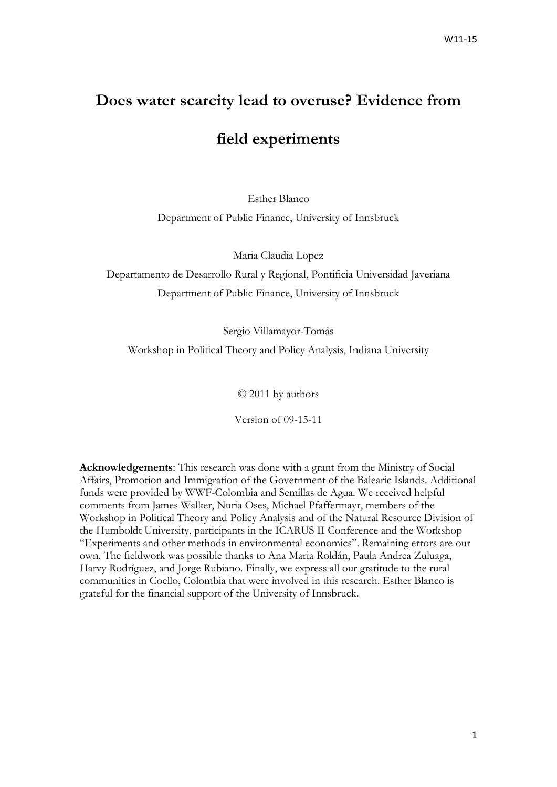# **Does water scarcity lead to overuse? Evidence from**

# **field experiments**

Esther Blanco

Department of Public Finance, University of Innsbruck

Maria Claudia Lopez

Departamento de Desarrollo Rural y Regional, Pontificia Universidad Javeriana Department of Public Finance, University of Innsbruck

Sergio Villamayor-Tomás

Workshop in Political Theory and Policy Analysis, Indiana University

© 2011 by authors

Version of 09-15-11

**Acknowledgements**: This research was done with a grant from the Ministry of Social Affairs, Promotion and Immigration of the Government of the Balearic Islands. Additional funds were provided by WWF-Colombia and Semillas de Agua. We received helpful comments from James Walker, Nuria Oses, Michael Pfaffermayr, members of the Workshop in Political Theory and Policy Analysis and of the Natural Resource Division of the Humboldt University, participants in the ICARUS II Conference and the Workshop "Experiments and other methods in environmental economics". Remaining errors are our own. The fieldwork was possible thanks to Ana Maria Roldán, Paula Andrea Zuluaga, Harvy Rodríguez, and Jorge Rubiano. Finally, we express all our gratitude to the rural communities in Coello, Colombia that were involved in this research. Esther Blanco is grateful for the financial support of the University of Innsbruck.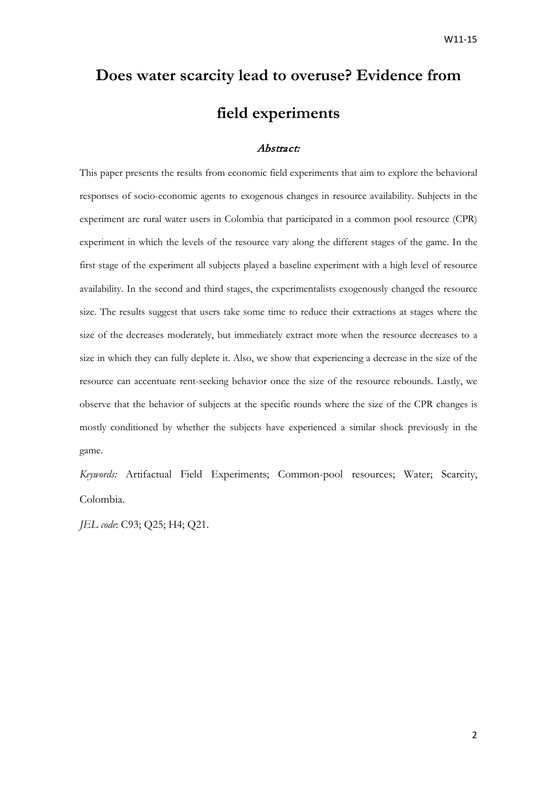# **Does water scarcity lead to overuse? Evidence from field experiments**

# Abstract:

This paper presents the results from economic field experiments that aim to explore the behavioral responses of socio-economic agents to exogenous changes in resource availability. Subjects in the experiment are rural water users in Colombia that participated in a common pool resource (CPR) experiment in which the levels of the resource vary along the different stages of the game. In the first stage of the experiment all subjects played a baseline experiment with a high level of resource availability. In the second and third stages, the experimentalists exogenously changed the resource size. The results suggest that users take some time to reduce their extractions at stages where the size of the decreases moderately, but immediately extract more when the resource decreases to a size in which they can fully deplete it. Also, we show that experiencing a decrease in the size of the resource can accentuate rent-seeking behavior once the size of the resource rebounds. Lastly, we observe that the behavior of subjects at the specific rounds where the size of the CPR changes is mostly conditioned by whether the subjects have experienced a similar shock previously in the game.

*Keywords:* Artifactual Field Experiments; Common-pool resources; Water; Scarcity, Colombia.

*JEL code*: C93; Q25; H4; Q21.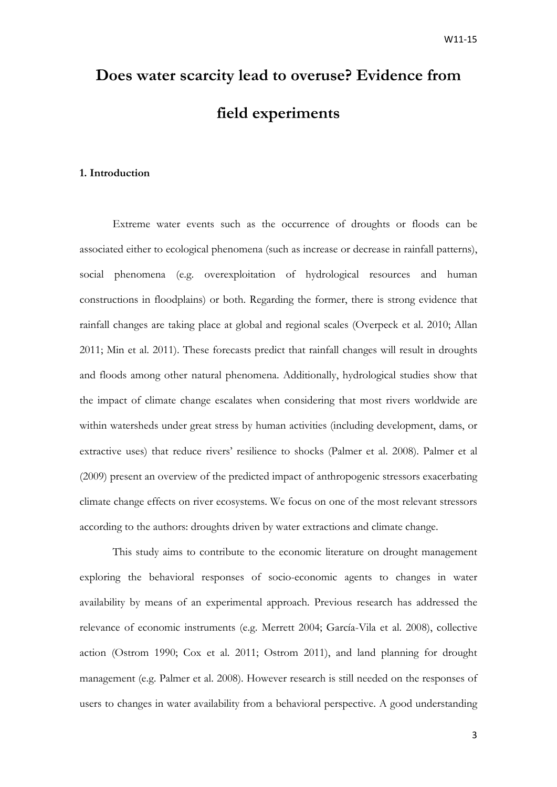# **Does water scarcity lead to overuse? Evidence from field experiments**

# **1. Introduction**

Extreme water events such as the occurrence of droughts or floods can be associated either to ecological phenomena (such as increase or decrease in rainfall patterns), social phenomena (e.g. overexploitation of hydrological resources and human constructions in floodplains) or both. Regarding the former, there is strong evidence that rainfall changes are taking place at global and regional scales [\(Overpeck et al. 2010;](#page-20-0) [Allan](#page-18-0)  [2011;](#page-18-0) [Min et al. 2011\)](#page-19-0). These forecasts predict that rainfall changes will result in droughts and floods among other natural phenomena. Additionally, hydrological studies show that the impact of climate change escalates when considering that most rivers worldwide are within watersheds under great stress by human activities (including development, dams, or extractive uses) that reduce rivers' resilience to shocks [\(Palmer et al. 2008\)](#page-20-1). Palmer et al [\(2009\)](#page-20-2) present an overview of the predicted impact of anthropogenic stressors exacerbating climate change effects on river ecosystems. We focus on one of the most relevant stressors according to the authors: droughts driven by water extractions and climate change.

This study aims to contribute to the economic literature on drought management exploring the behavioral responses of socio-economic agents to changes in water availability by means of an experimental approach. Previous research has addressed the relevance of economic instruments (e.g. [Merrett 2004;](#page-19-1) [García-Vila et al. 2008\)](#page-19-2), collective action [\(Ostrom 1990;](#page-19-3) [Cox et al. 2011;](#page-19-4) [Ostrom 2011\)](#page-19-5), and land planning for drought management [\(e.g. Palmer et al. 2008\)](#page-20-1). However research is still needed on the responses of users to changes in water availability from a behavioral perspective. A good understanding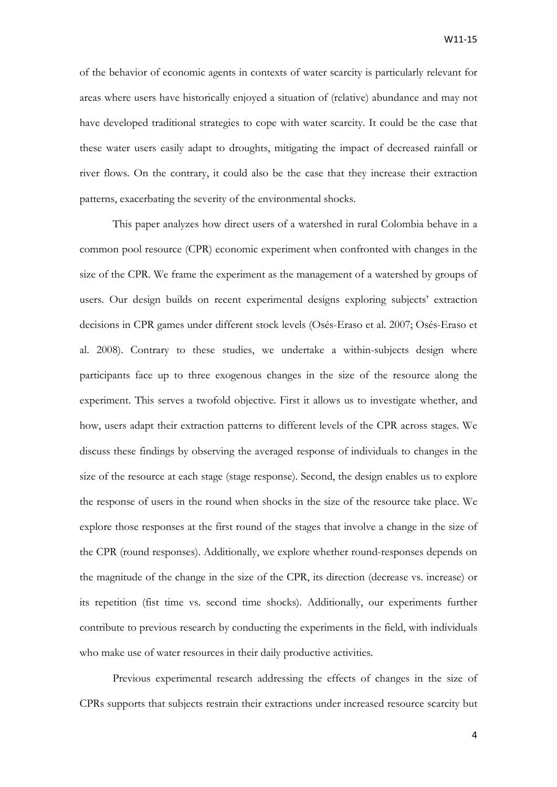of the behavior of economic agents in contexts of water scarcity is particularly relevant for areas where users have historically enjoyed a situation of (relative) abundance and may not have developed traditional strategies to cope with water scarcity. It could be the case that these water users easily adapt to droughts, mitigating the impact of decreased rainfall or river flows. On the contrary, it could also be the case that they increase their extraction patterns, exacerbating the severity of the environmental shocks.

This paper analyzes how direct users of a watershed in rural Colombia behave in a common pool resource (CPR) economic experiment when confronted with changes in the size of the CPR. We frame the experiment as the management of a watershed by groups of users. Our design builds on recent experimental designs exploring subjects' extraction decisions in CPR games under different stock levels [\(Osés-Eraso et al. 2007;](#page-19-6) [Osés-Eraso et](#page-19-7)  [al. 2008\)](#page-19-7). Contrary to these studies, we undertake a within-subjects design where participants face up to three exogenous changes in the size of the resource along the experiment. This serves a twofold objective. First it allows us to investigate whether, and how, users adapt their extraction patterns to different levels of the CPR across stages. We discuss these findings by observing the averaged response of individuals to changes in the size of the resource at each stage (stage response). Second, the design enables us to explore the response of users in the round when shocks in the size of the resource take place. We explore those responses at the first round of the stages that involve a change in the size of the CPR (round responses). Additionally, we explore whether round-responses depends on the magnitude of the change in the size of the CPR, its direction (decrease vs. increase) or its repetition (fist time vs. second time shocks). Additionally, our experiments further contribute to previous research by conducting the experiments in the field, with individuals who make use of water resources in their daily productive activities.

Previous experimental research addressing the effects of changes in the size of CPRs supports that subjects restrain their extractions under increased resource scarcity but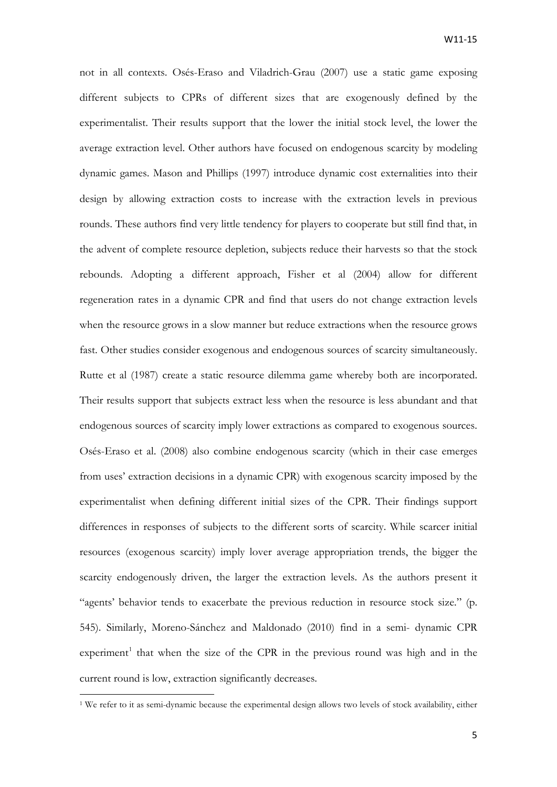not in all contexts. Osés-Eraso and Viladrich-Grau [\(2007\)](#page-19-6) use a static game exposing different subjects to CPRs of different sizes that are exogenously defined by the experimentalist. Their results support that the lower the initial stock level, the lower the average extraction level. Other authors have focused on endogenous scarcity by modeling dynamic games. Mason and Phillips [\(1997\)](#page-19-8) introduce dynamic cost externalities into their design by allowing extraction costs to increase with the extraction levels in previous rounds. These authors find very little tendency for players to cooperate but still find that, in the advent of complete resource depletion, subjects reduce their harvests so that the stock rebounds. Adopting a different approach, Fisher et al [\(2004\)](#page-19-9) allow for different regeneration rates in a dynamic CPR and find that users do not change extraction levels when the resource grows in a slow manner but reduce extractions when the resource grows fast. Other studies consider exogenous and endogenous sources of scarcity simultaneously. Rutte et al [\(1987\)](#page-20-3) create a static resource dilemma game whereby both are incorporated. Their results support that subjects extract less when the resource is less abundant and that endogenous sources of scarcity imply lower extractions as compared to exogenous sources. Osés-Eraso et al. [\(2008\)](#page-19-7) also combine endogenous scarcity (which in their case emerges from uses' extraction decisions in a dynamic CPR) with exogenous scarcity imposed by the experimentalist when defining different initial sizes of the CPR. Their findings support differences in responses of subjects to the different sorts of scarcity. While scarcer initial resources (exogenous scarcity) imply lover average appropriation trends, the bigger the scarcity endogenously driven, the larger the extraction levels. As the authors present it "agents' behavior tends to exacerbate the previous reduction in resource stock size." (p. 545). Similarly, Moreno-Sánchez and Maldonado [\(2010\)](#page-19-10) find in a semi- dynamic CPR experiment<sup>[1](#page-4-0)</sup> that when the size of the CPR in the previous round was high and in the current round is low, extraction significantly decreases.

**.** 

<span id="page-4-0"></span><sup>&</sup>lt;sup>1</sup> We refer to it as semi-dynamic because the experimental design allows two levels of stock availability, either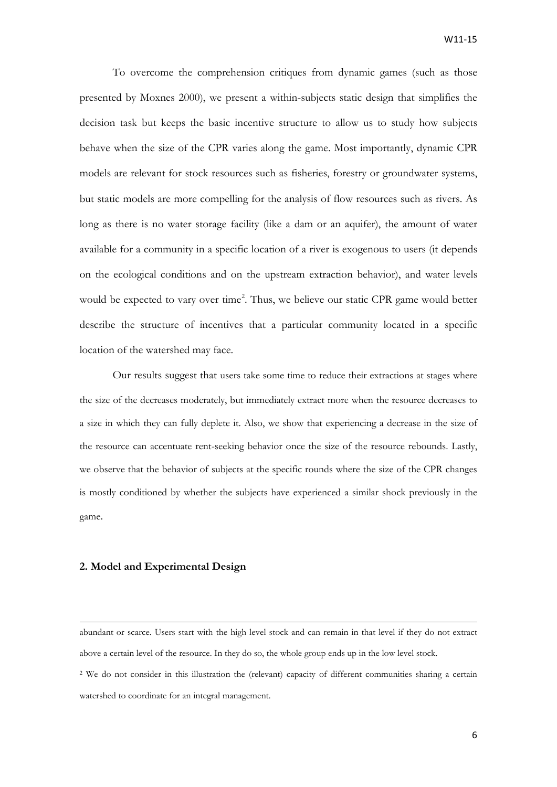To overcome the comprehension critiques from dynamic games [\(such as those](#page-19-11)  [presented by Moxnes 2000\)](#page-19-11), we present a within-subjects static design that simplifies the decision task but keeps the basic incentive structure to allow us to study how subjects behave when the size of the CPR varies along the game. Most importantly, dynamic CPR models are relevant for stock resources such as fisheries, forestry or groundwater systems, but static models are more compelling for the analysis of flow resources such as rivers. As long as there is no water storage facility (like a dam or an aquifer), the amount of water available for a community in a specific location of a river is exogenous to users (it depends on the ecological conditions and on the upstream extraction behavior), and water levels would be expected to vary over time<sup>[2](#page-5-0)</sup>. Thus, we believe our static CPR game would better describe the structure of incentives that a particular community located in a specific location of the watershed may face.

Our results suggest that users take some time to reduce their extractions at stages where the size of the decreases moderately, but immediately extract more when the resource decreases to a size in which they can fully deplete it. Also, we show that experiencing a decrease in the size of the resource can accentuate rent-seeking behavior once the size of the resource rebounds. Lastly, we observe that the behavior of subjects at the specific rounds where the size of the CPR changes is mostly conditioned by whether the subjects have experienced a similar shock previously in the game.

### **2. Model and Experimental Design**

 $\overline{a}$ 

<span id="page-5-0"></span>abundant or scarce. Users start with the high level stock and can remain in that level if they do not extract above a certain level of the resource. In they do so, the whole group ends up in the low level stock. <sup>2</sup> We do not consider in this illustration the (relevant) capacity of different communities sharing a certain watershed to coordinate for an integral management.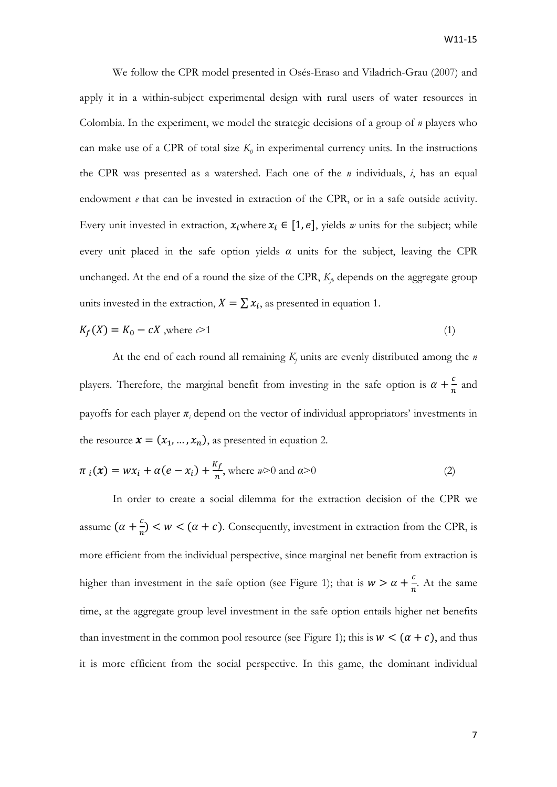We follow the CPR model presented in Osés-Eraso and Viladrich-Grau [\(2007\)](#page-19-6) and apply it in a within-subject experimental design with rural users of water resources in Colombia. In the experiment, we model the strategic decisions of a group of *n* players who can make use of a CPR of total size  $K_0$  in experimental currency units. In the instructions the CPR was presented as a watershed. Each one of the *n* individuals, *i*, has an equal endowment *e* that can be invested in extraction of the CPR, or in a safe outside activity. Every unit invested in extraction,  $x_i$  where  $x_i \in [1, e]$ , yields *w* units for the subject; while every unit placed in the safe option yields *α* units for the subject, leaving the CPR unchanged. At the end of a round the size of the CPR,  $K_p$  depends on the aggregate group units invested in the extraction,  $X = \sum x_i$ , as presented in equation 1.

$$
K_f(X) = K_0 - cX
$$
, where  $c > 1$  (1)

At the end of each round all remaining  $K_f$  units are evenly distributed among the *n* players. Therefore, the marginal benefit from investing in the safe option is  $\alpha + \frac{c}{n}$  and payoffs for each player  $\pi$ *<sub>i</sub>* depend on the vector of individual appropriators' investments in the resource  $\mathbf{x} = (x_1, ..., x_n)$ , as presented in equation 2.

$$
\pi_i(\mathbf{x}) = wx_i + \alpha(e - x_i) + \frac{\kappa_f}{n}, \text{ where } n > 0 \text{ and } \alpha > 0 \tag{2}
$$

In order to create a social dilemma for the extraction decision of the CPR we assume  $(\alpha + \frac{c}{n}) < w < (\alpha + c)$ . Consequently, investment in extraction from the CPR, is more efficient from the individual perspective, since marginal net benefit from extraction is higher than investment in the safe option (see Figure 1); that is  $w > \alpha + \frac{c}{n}$ . At the same time, at the aggregate group level investment in the safe option entails higher net benefits than investment in the common pool resource (see Figure 1); this is  $w < (\alpha + c)$ , and thus it is more efficient from the social perspective. In this game, the dominant individual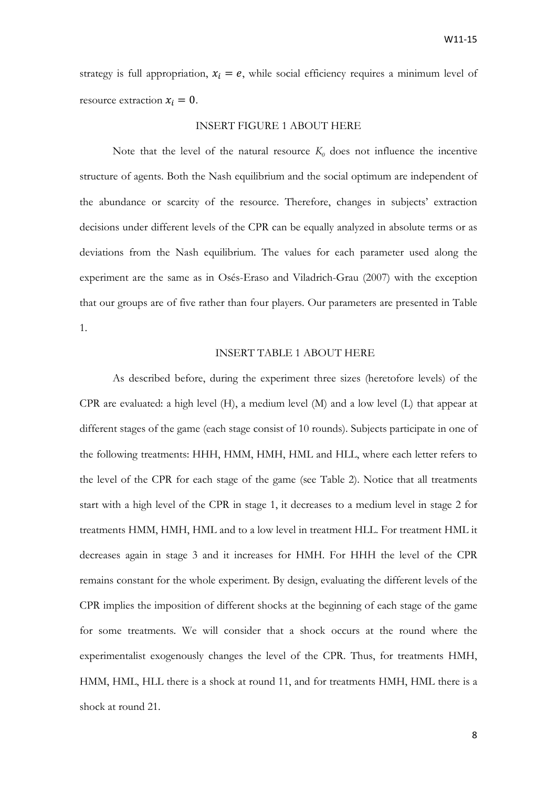strategy is full appropriation,  $x_i = e$ , while social efficiency requires a minimum level of resource extraction  $x_i = 0$ .

#### INSERT FIGURE 1 ABOUT HERE

Note that the level of the natural resource  $K_0$  does not influence the incentive structure of agents. Both the Nash equilibrium and the social optimum are independent of the abundance or scarcity of the resource. Therefore, changes in subjects' extraction decisions under different levels of the CPR can be equally analyzed in absolute terms or as deviations from the Nash equilibrium. The values for each parameter used along the experiment are the same as in Osés-Eraso and Viladrich-Grau [\(2007\)](#page-19-6) with the exception that our groups are of five rather than four players. Our parameters are presented in Table 1.

# INSERT TABLE 1 ABOUT HERE

As described before, during the experiment three sizes (heretofore levels) of the CPR are evaluated: a high level (H), a medium level (M) and a low level (L) that appear at different stages of the game (each stage consist of 10 rounds). Subjects participate in one of the following treatments: HHH, HMM, HMH, HML and HLL, where each letter refers to the level of the CPR for each stage of the game (see Table 2). Notice that all treatments start with a high level of the CPR in stage 1, it decreases to a medium level in stage 2 for treatments HMM, HMH, HML and to a low level in treatment HLL. For treatment HML it decreases again in stage 3 and it increases for HMH. For HHH the level of the CPR remains constant for the whole experiment. By design, evaluating the different levels of the CPR implies the imposition of different shocks at the beginning of each stage of the game for some treatments. We will consider that a shock occurs at the round where the experimentalist exogenously changes the level of the CPR. Thus, for treatments HMH, HMM, HML, HLL there is a shock at round 11, and for treatments HMH, HML there is a shock at round 21.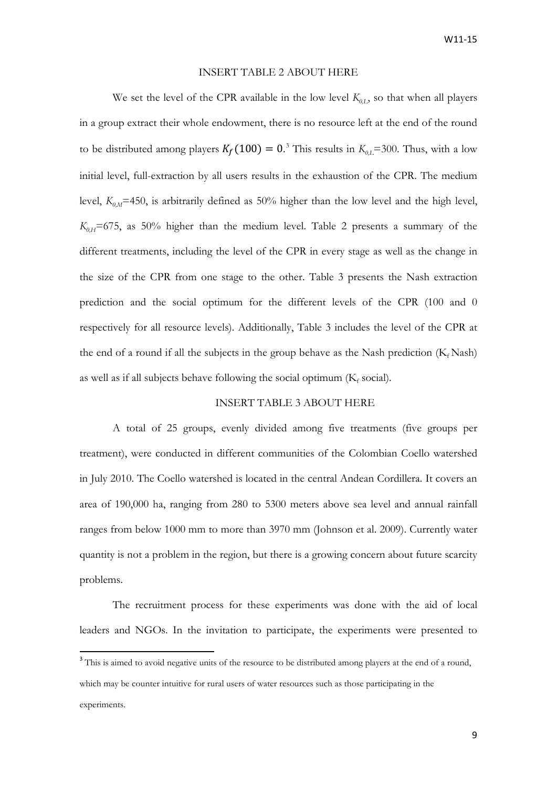#### INSERT TABLE 2 ABOUT HERE

We set the level of the CPR available in the low level  $K_{0I}$ , so that when all players in a group extract their whole endowment, there is no resource left at the end of the round to be distributed among players  $K_f(100) = 0$ .<sup>[3](#page-8-0)</sup> This results in  $K_{0,L}$ =300. Thus, with a low initial level, full-extraction by all users results in the exhaustion of the CPR. The medium level,  $K_{0,M}$ =450, is arbitrarily defined as 50% higher than the low level and the high level,  $K_{0,H}$ =675, as 50% higher than the medium level. Table 2 presents a summary of the different treatments, including the level of the CPR in every stage as well as the change in the size of the CPR from one stage to the other. Table 3 presents the Nash extraction prediction and the social optimum for the different levels of the CPR (100 and 0 respectively for all resource levels). Additionally, Table 3 includes the level of the CPR at the end of a round if all the subjects in the group behave as the Nash prediction  $(K_f$  Nash) as well as if all subjects behave following the social optimum  $(K_f \text{ social})$ .

# INSERT TABLE 3 ABOUT HERE

A total of 25 groups, evenly divided among five treatments (five groups per treatment), were conducted in different communities of the Colombian Coello watershed in July 2010. The Coello watershed is located in the central Andean Cordillera. It covers an area of 190,000 ha, ranging from 280 to 5300 meters above sea level and annual rainfall ranges from below 1000 mm to more than 3970 mm [\(Johnson et al. 2009\)](#page-19-12). Currently water quantity is not a problem in the region, but there is a growing concern about future scarcity problems.

The recruitment process for these experiments was done with the aid of local leaders and NGOs. In the invitation to participate, the experiments were presented to

<span id="page-8-0"></span><sup>&</sup>lt;sup>3</sup> This is aimed to avoid negative units of the resource to be distributed among players at the end of a round, which may be counter intuitive for rural users of water resources such as those participating in the experiments.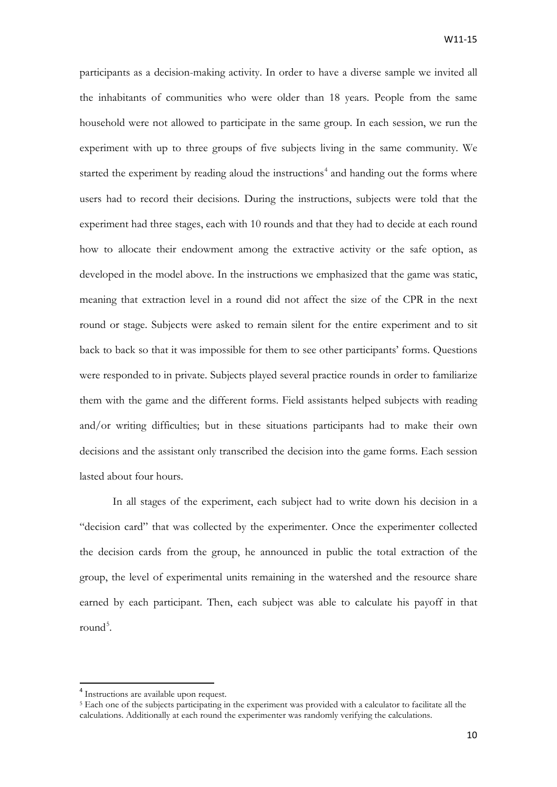participants as a decision-making activity. In order to have a diverse sample we invited all the inhabitants of communities who were older than 18 years. People from the same household were not allowed to participate in the same group. In each session, we run the experiment with up to three groups of five subjects living in the same community. We started the experiment by reading aloud the instructions<sup>[4](#page-9-0)</sup> and handing out the forms where users had to record their decisions. During the instructions, subjects were told that the experiment had three stages, each with 10 rounds and that they had to decide at each round how to allocate their endowment among the extractive activity or the safe option, as developed in the model above. In the instructions we emphasized that the game was static, meaning that extraction level in a round did not affect the size of the CPR in the next round or stage. Subjects were asked to remain silent for the entire experiment and to sit back to back so that it was impossible for them to see other participants' forms. Questions were responded to in private. Subjects played several practice rounds in order to familiarize them with the game and the different forms. Field assistants helped subjects with reading and/or writing difficulties; but in these situations participants had to make their own decisions and the assistant only transcribed the decision into the game forms. Each session lasted about four hours.

In all stages of the experiment, each subject had to write down his decision in a "decision card" that was collected by the experimenter. Once the experimenter collected the decision cards from the group, he announced in public the total extraction of the group, the level of experimental units remaining in the watershed and the resource share earned by each participant. Then, each subject was able to calculate his payoff in that round<sup>[5](#page-9-1)</sup>.

<span id="page-9-0"></span><sup>&</sup>lt;sup>4</sup> Instructions are available upon request.

<span id="page-9-1"></span><sup>5</sup> Each one of the subjects participating in the experiment was provided with a calculator to facilitate all the calculations. Additionally at each round the experimenter was randomly verifying the calculations.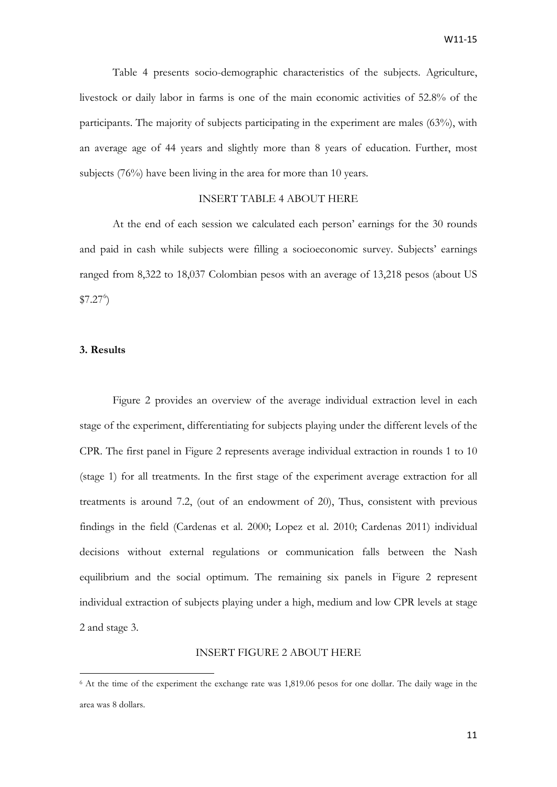Table 4 presents socio-demographic characteristics of the subjects. Agriculture, livestock or daily labor in farms is one of the main economic activities of 52.8% of the participants. The majority of subjects participating in the experiment are males (63%), with an average age of 44 years and slightly more than 8 years of education. Further, most subjects (76%) have been living in the area for more than 10 years.

# INSERT TABLE 4 ABOUT HERE

At the end of each session we calculated each person' earnings for the 30 rounds and paid in cash while subjects were filling a socioeconomic survey. Subjects' earnings ranged from 8,322 to 18,037 Colombian pesos with an average of 13,218 pesos (about US  $$7.27<sup>6</sup>$  $$7.27<sup>6</sup>$  $$7.27<sup>6</sup>$ 

## **3. Results**

**.** 

Figure 2 provides an overview of the average individual extraction level in each stage of the experiment, differentiating for subjects playing under the different levels of the CPR. The first panel in Figure 2 represents average individual extraction in rounds 1 to 10 (stage 1) for all treatments. In the first stage of the experiment average extraction for all treatments is around 7.2, (out of an endowment of 20), Thus, consistent with previous findings in the field [\(Cardenas et al. 2000;](#page-19-13) [Lopez et al. 2010;](#page-19-14) [Cardenas 2011\)](#page-18-1) individual decisions without external regulations or communication falls between the Nash equilibrium and the social optimum. The remaining six panels in Figure 2 represent individual extraction of subjects playing under a high, medium and low CPR levels at stage 2 and stage 3.

### INSERT FIGURE 2 ABOUT HERE

<span id="page-10-0"></span><sup>6</sup> At the time of the experiment the exchange rate was 1,819.06 pesos for one dollar. The daily wage in the area was 8 dollars.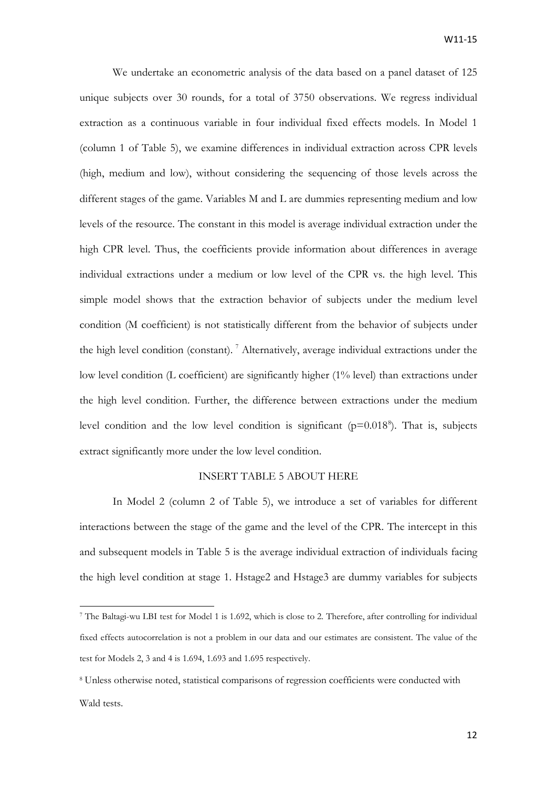We undertake an econometric analysis of the data based on a panel dataset of 125 unique subjects over 30 rounds, for a total of 3750 observations. We regress individual extraction as a continuous variable in four individual fixed effects models. In Model 1 (column 1 of Table 5), we examine differences in individual extraction across CPR levels (high, medium and low), without considering the sequencing of those levels across the different stages of the game. Variables M and L are dummies representing medium and low levels of the resource. The constant in this model is average individual extraction under the high CPR level. Thus, the coefficients provide information about differences in average individual extractions under a medium or low level of the CPR vs. the high level. This simple model shows that the extraction behavior of subjects under the medium level condition (M coefficient) is not statistically different from the behavior of subjects under the high level condition (constant).<sup>[7](#page-11-0)</sup> Alternatively, average individual extractions under the low level condition (L coefficient) are significantly higher (1% level) than extractions under the high level condition. Further, the difference between extractions under the medium level condition and the low level condition is significant  $(p=0.018^{\circ})$  $(p=0.018^{\circ})$  $(p=0.018^{\circ})$ . That is, subjects extract significantly more under the low level condition.

# INSERT TABLE 5 ABOUT HERE

In Model 2 (column 2 of Table 5), we introduce a set of variables for different interactions between the stage of the game and the level of the CPR. The intercept in this and subsequent models in Table 5 is the average individual extraction of individuals facing the high level condition at stage 1. Hstage2 and Hstage3 are dummy variables for subjects

**.** 

<span id="page-11-0"></span><sup>7</sup> The Baltagi-wu LBI test for Model 1 is 1.692, which is close to 2. Therefore, after controlling for individual fixed effects autocorrelation is not a problem in our data and our estimates are consistent. The value of the test for Models 2, 3 and 4 is 1.694, 1.693 and 1.695 respectively.

<span id="page-11-1"></span><sup>8</sup> Unless otherwise noted, statistical comparisons of regression coefficients were conducted with Wald tests.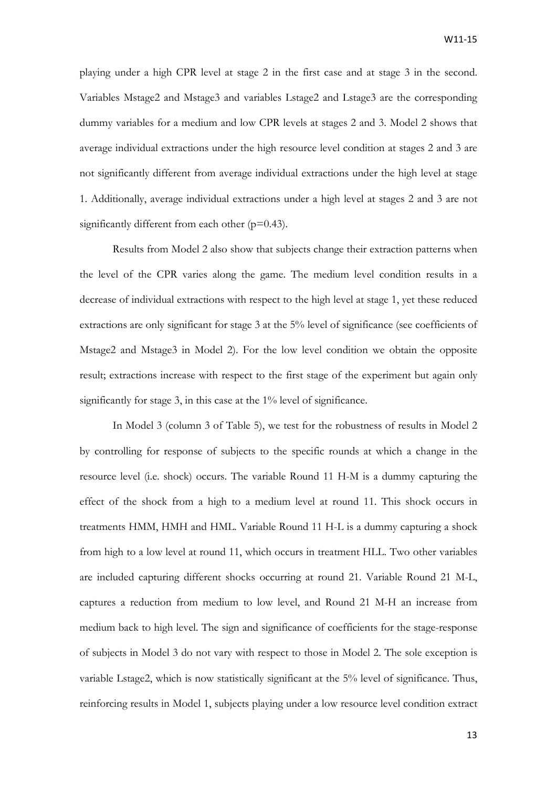playing under a high CPR level at stage 2 in the first case and at stage 3 in the second. Variables Mstage2 and Mstage3 and variables Lstage2 and Lstage3 are the corresponding dummy variables for a medium and low CPR levels at stages 2 and 3. Model 2 shows that average individual extractions under the high resource level condition at stages 2 and 3 are not significantly different from average individual extractions under the high level at stage 1. Additionally, average individual extractions under a high level at stages 2 and 3 are not significantly different from each other  $(p=0.43)$ .

Results from Model 2 also show that subjects change their extraction patterns when the level of the CPR varies along the game. The medium level condition results in a decrease of individual extractions with respect to the high level at stage 1, yet these reduced extractions are only significant for stage 3 at the 5% level of significance (see coefficients of Mstage2 and Mstage3 in Model 2). For the low level condition we obtain the opposite result; extractions increase with respect to the first stage of the experiment but again only significantly for stage 3, in this case at the 1% level of significance.

In Model 3 (column 3 of Table 5), we test for the robustness of results in Model 2 by controlling for response of subjects to the specific rounds at which a change in the resource level (i.e. shock) occurs. The variable Round 11 H-M is a dummy capturing the effect of the shock from a high to a medium level at round 11. This shock occurs in treatments HMM, HMH and HML. Variable Round 11 H-L is a dummy capturing a shock from high to a low level at round 11, which occurs in treatment HLL. Two other variables are included capturing different shocks occurring at round 21. Variable Round 21 M-L, captures a reduction from medium to low level, and Round 21 M-H an increase from medium back to high level. The sign and significance of coefficients for the stage-response of subjects in Model 3 do not vary with respect to those in Model 2. The sole exception is variable Lstage2, which is now statistically significant at the 5% level of significance. Thus, reinforcing results in Model 1, subjects playing under a low resource level condition extract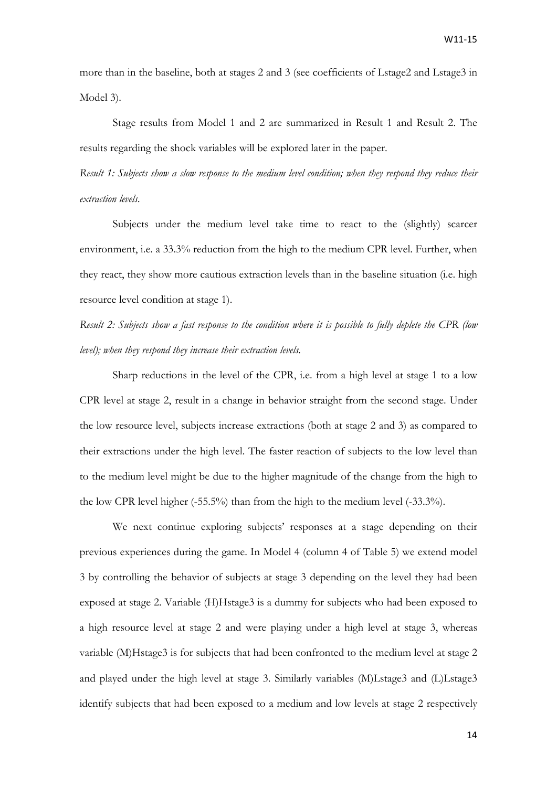more than in the baseline, both at stages 2 and 3 (see coefficients of Lstage2 and Lstage3 in Model 3).

Stage results from Model 1 and 2 are summarized in Result 1 and Result 2. The results regarding the shock variables will be explored later in the paper.

*Result 1: Subjects show a slow response to the medium level condition; when they respond they reduce their extraction levels.*

Subjects under the medium level take time to react to the (slightly) scarcer environment, i.e. a 33.3% reduction from the high to the medium CPR level. Further, when they react, they show more cautious extraction levels than in the baseline situation (i.e. high resource level condition at stage 1).

*Result 2: Subjects show a fast response to the condition where it is possible to fully deplete the CPR (low level); when they respond they increase their extraction levels.*

Sharp reductions in the level of the CPR, i.e. from a high level at stage 1 to a low CPR level at stage 2, result in a change in behavior straight from the second stage. Under the low resource level, subjects increase extractions (both at stage 2 and 3) as compared to their extractions under the high level. The faster reaction of subjects to the low level than to the medium level might be due to the higher magnitude of the change from the high to the low CPR level higher (-55.5%) than from the high to the medium level (-33.3%).

We next continue exploring subjects' responses at a stage depending on their previous experiences during the game. In Model 4 (column 4 of Table 5) we extend model 3 by controlling the behavior of subjects at stage 3 depending on the level they had been exposed at stage 2. Variable (H)Hstage3 is a dummy for subjects who had been exposed to a high resource level at stage 2 and were playing under a high level at stage 3, whereas variable (M)Hstage3 is for subjects that had been confronted to the medium level at stage 2 and played under the high level at stage 3. Similarly variables (M)Lstage3 and (L)Lstage3 identify subjects that had been exposed to a medium and low levels at stage 2 respectively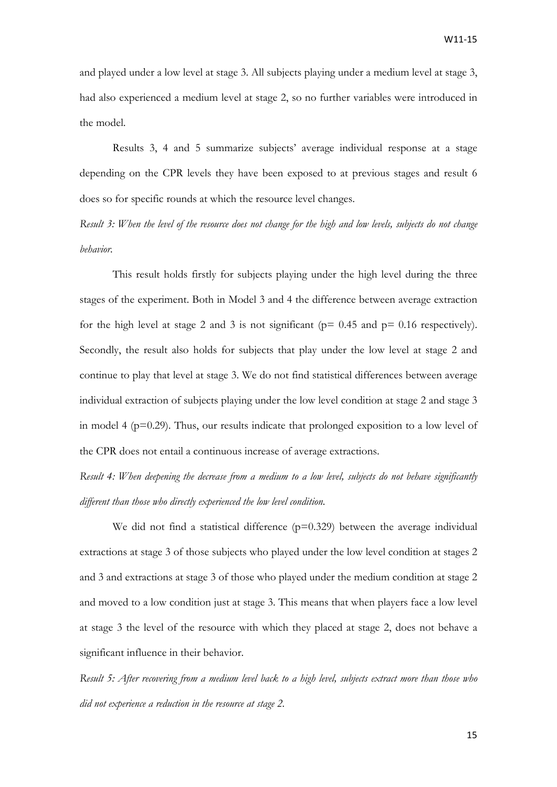and played under a low level at stage 3. All subjects playing under a medium level at stage 3, had also experienced a medium level at stage 2, so no further variables were introduced in the model.

Results 3, 4 and 5 summarize subjects' average individual response at a stage depending on the CPR levels they have been exposed to at previous stages and result 6 does so for specific rounds at which the resource level changes.

*Result 3: When the level of the resource does not change for the high and low levels, subjects do not change behavior.*

This result holds firstly for subjects playing under the high level during the three stages of the experiment. Both in Model 3 and 4 the difference between average extraction for the high level at stage 2 and 3 is not significant ( $p= 0.45$  and  $p= 0.16$  respectively). Secondly, the result also holds for subjects that play under the low level at stage 2 and continue to play that level at stage 3. We do not find statistical differences between average individual extraction of subjects playing under the low level condition at stage 2 and stage 3 in model 4 ( $p=0.29$ ). Thus, our results indicate that prolonged exposition to a low level of the CPR does not entail a continuous increase of average extractions.

*Result 4: When deepening the decrease from a medium to a low level, subjects do not behave significantly different than those who directly experienced the low level condition.*

We did not find a statistical difference  $(p=0.329)$  between the average individual extractions at stage 3 of those subjects who played under the low level condition at stages 2 and 3 and extractions at stage 3 of those who played under the medium condition at stage 2 and moved to a low condition just at stage 3. This means that when players face a low level at stage 3 the level of the resource with which they placed at stage 2, does not behave a significant influence in their behavior.

*Result 5: After recovering from a medium level back to a high level, subjects extract more than those who did not experience a reduction in the resource at stage 2.*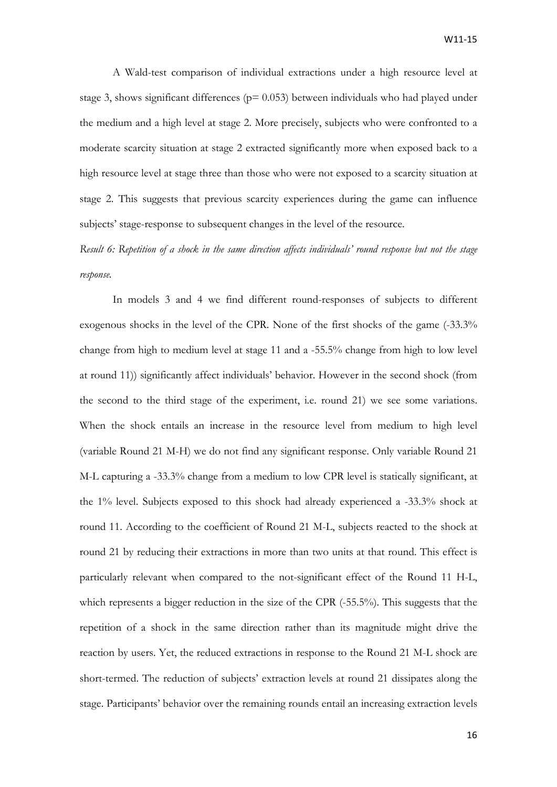A Wald-test comparison of individual extractions under a high resource level at stage 3, shows significant differences ( $p= 0.053$ ) between individuals who had played under the medium and a high level at stage 2. More precisely, subjects who were confronted to a moderate scarcity situation at stage 2 extracted significantly more when exposed back to a high resource level at stage three than those who were not exposed to a scarcity situation at stage 2. This suggests that previous scarcity experiences during the game can influence subjects' stage-response to subsequent changes in the level of the resource.

*Result 6: Repetition of a shock in the same direction affects individuals' round response but not the stage response.*

In models 3 and 4 we find different round-responses of subjects to different exogenous shocks in the level of the CPR. None of the first shocks of the game (-33.3% change from high to medium level at stage 11 and a -55.5% change from high to low level at round 11)) significantly affect individuals' behavior. However in the second shock (from the second to the third stage of the experiment, i.e. round 21) we see some variations. When the shock entails an increase in the resource level from medium to high level (variable Round 21 M-H) we do not find any significant response. Only variable Round 21 M-L capturing a -33.3% change from a medium to low CPR level is statically significant, at the 1% level. Subjects exposed to this shock had already experienced a -33.3% shock at round 11. According to the coefficient of Round 21 M-L, subjects reacted to the shock at round 21 by reducing their extractions in more than two units at that round. This effect is particularly relevant when compared to the not-significant effect of the Round 11 H-L, which represents a bigger reduction in the size of the CPR (-55.5%). This suggests that the repetition of a shock in the same direction rather than its magnitude might drive the reaction by users. Yet, the reduced extractions in response to the Round 21 M-L shock are short-termed. The reduction of subjects' extraction levels at round 21 dissipates along the stage. Participants' behavior over the remaining rounds entail an increasing extraction levels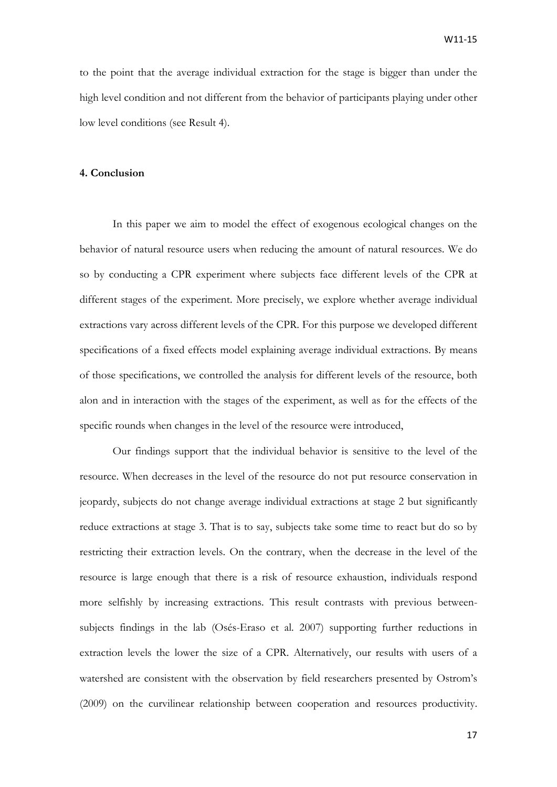to the point that the average individual extraction for the stage is bigger than under the high level condition and not different from the behavior of participants playing under other low level conditions (see Result 4).

### **4. Conclusion**

In this paper we aim to model the effect of exogenous ecological changes on the behavior of natural resource users when reducing the amount of natural resources. We do so by conducting a CPR experiment where subjects face different levels of the CPR at different stages of the experiment. More precisely, we explore whether average individual extractions vary across different levels of the CPR. For this purpose we developed different specifications of a fixed effects model explaining average individual extractions. By means of those specifications, we controlled the analysis for different levels of the resource, both alon and in interaction with the stages of the experiment, as well as for the effects of the specific rounds when changes in the level of the resource were introduced,

Our findings support that the individual behavior is sensitive to the level of the resource. When decreases in the level of the resource do not put resource conservation in jeopardy, subjects do not change average individual extractions at stage 2 but significantly reduce extractions at stage 3. That is to say, subjects take some time to react but do so by restricting their extraction levels. On the contrary, when the decrease in the level of the resource is large enough that there is a risk of resource exhaustion, individuals respond more selfishly by increasing extractions. This result contrasts with previous betweensubjects findings in the lab [\(Osés-Eraso et al. 2007\)](#page-19-6) supporting further reductions in extraction levels the lower the size of a CPR. Alternatively, our results with users of a watershed are consistent with the observation by field researchers presented by Ostrom's [\(2009\)](#page-19-15) on the curvilinear relationship between cooperation and resources productivity.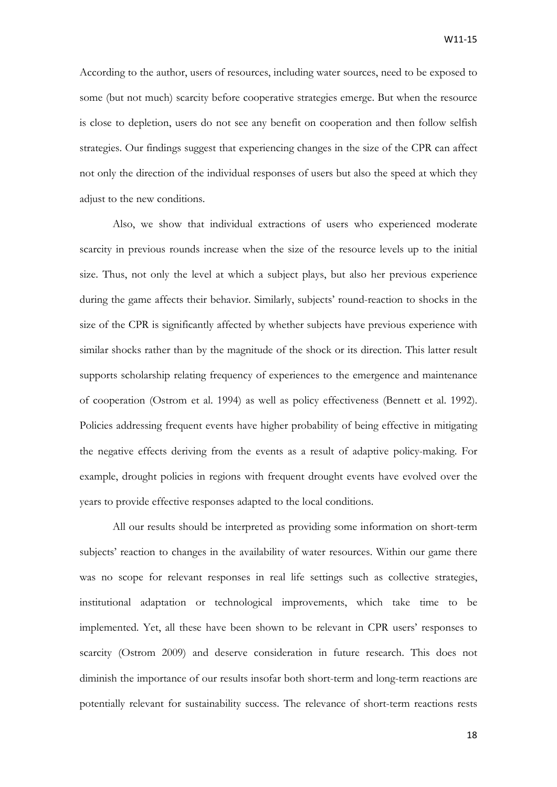According to the author, users of resources, including water sources, need to be exposed to some (but not much) scarcity before cooperative strategies emerge. But when the resource is close to depletion, users do not see any benefit on cooperation and then follow selfish strategies. Our findings suggest that experiencing changes in the size of the CPR can affect not only the direction of the individual responses of users but also the speed at which they adjust to the new conditions.

Also, we show that individual extractions of users who experienced moderate scarcity in previous rounds increase when the size of the resource levels up to the initial size. Thus, not only the level at which a subject plays, but also her previous experience during the game affects their behavior. Similarly, subjects' round-reaction to shocks in the size of the CPR is significantly affected by whether subjects have previous experience with similar shocks rather than by the magnitude of the shock or its direction. This latter result supports scholarship relating frequency of experiences to the emergence and maintenance of cooperation [\(Ostrom et al. 1994\)](#page-20-4) as well as policy effectiveness [\(Bennett et al. 1992\)](#page-18-2). Policies addressing frequent events have higher probability of being effective in mitigating the negative effects deriving from the events as a result of adaptive policy-making. For example, drought policies in regions with frequent drought events have evolved over the years to provide effective responses adapted to the local conditions.

All our results should be interpreted as providing some information on short-term subjects' reaction to changes in the availability of water resources. Within our game there was no scope for relevant responses in real life settings such as collective strategies, institutional adaptation or technological improvements, which take time to be implemented. Yet, all these have been shown to be relevant in CPR users' responses to scarcity [\(Ostrom 2009\)](#page-19-15) and deserve consideration in future research. This does not diminish the importance of our results insofar both short-term and long-term reactions are potentially relevant for sustainability success. The relevance of short-term reactions rests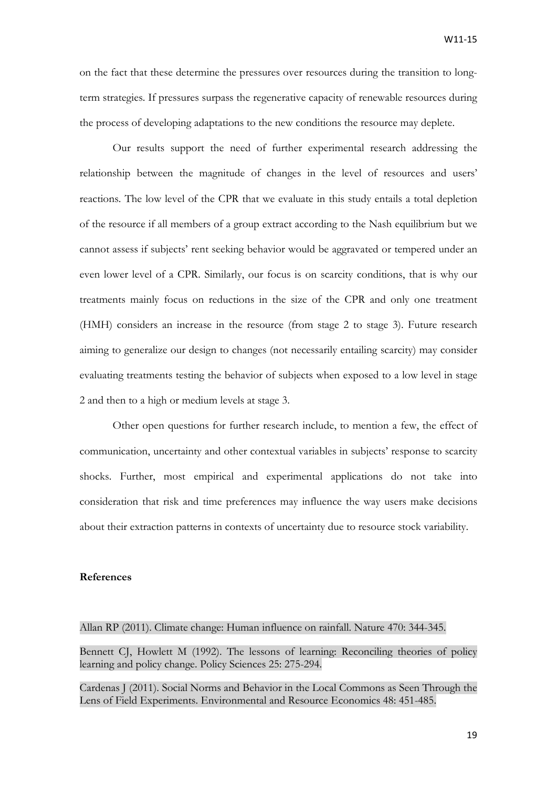on the fact that these determine the pressures over resources during the transition to longterm strategies. If pressures surpass the regenerative capacity of renewable resources during the process of developing adaptations to the new conditions the resource may deplete.

Our results support the need of further experimental research addressing the relationship between the magnitude of changes in the level of resources and users' reactions. The low level of the CPR that we evaluate in this study entails a total depletion of the resource if all members of a group extract according to the Nash equilibrium but we cannot assess if subjects' rent seeking behavior would be aggravated or tempered under an even lower level of a CPR. Similarly, our focus is on scarcity conditions, that is why our treatments mainly focus on reductions in the size of the CPR and only one treatment (HMH) considers an increase in the resource (from stage 2 to stage 3). Future research aiming to generalize our design to changes (not necessarily entailing scarcity) may consider evaluating treatments testing the behavior of subjects when exposed to a low level in stage 2 and then to a high or medium levels at stage 3.

Other open questions for further research include, to mention a few, the effect of communication, uncertainty and other contextual variables in subjects' response to scarcity shocks. Further, most empirical and experimental applications do not take into consideration that risk and time preferences may influence the way users make decisions about their extraction patterns in contexts of uncertainty due to resource stock variability.

### **References**

<span id="page-18-0"></span>Allan RP (2011). Climate change: Human influence on rainfall. Nature 470: 344-345.

<span id="page-18-2"></span>Bennett CJ, Howlett M (1992). The lessons of learning: Reconciling theories of policy learning and policy change. Policy Sciences 25: 275-294.

<span id="page-18-1"></span>Cardenas J (2011). Social Norms and Behavior in the Local Commons as Seen Through the Lens of Field Experiments. Environmental and Resource Economics 48: 451-485.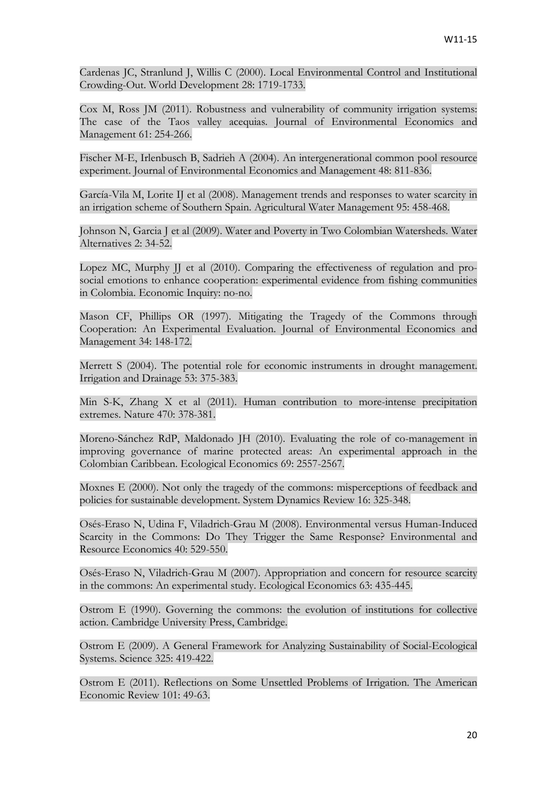<span id="page-19-13"></span>Cardenas JC, Stranlund J, Willis C (2000). Local Environmental Control and Institutional Crowding-Out. World Development 28: 1719-1733.

<span id="page-19-4"></span>Cox M, Ross JM (2011). Robustness and vulnerability of community irrigation systems: The case of the Taos valley acequias. Journal of Environmental Economics and Management 61: 254-266.

<span id="page-19-9"></span>Fischer M-E, Irlenbusch B, Sadrieh A (2004). An intergenerational common pool resource experiment. Journal of Environmental Economics and Management 48: 811-836.

<span id="page-19-2"></span>García-Vila M, Lorite IJ et al (2008). Management trends and responses to water scarcity in an irrigation scheme of Southern Spain. Agricultural Water Management 95: 458-468.

<span id="page-19-12"></span>Johnson N, Garcia J et al (2009). Water and Poverty in Two Colombian Watersheds. Water Alternatives 2: 34-52.

<span id="page-19-14"></span>Lopez MC, Murphy JJ et al (2010). Comparing the effectiveness of regulation and prosocial emotions to enhance cooperation: experimental evidence from fishing communities in Colombia. Economic Inquiry: no-no.

<span id="page-19-8"></span>Mason CF, Phillips OR (1997). Mitigating the Tragedy of the Commons through Cooperation: An Experimental Evaluation. Journal of Environmental Economics and Management 34: 148-172.

<span id="page-19-1"></span>Merrett S (2004). The potential role for economic instruments in drought management. Irrigation and Drainage 53: 375-383.

<span id="page-19-0"></span>Min S-K, Zhang X et al (2011). Human contribution to more-intense precipitation extremes. Nature 470: 378-381.

<span id="page-19-10"></span>Moreno-Sánchez RdP, Maldonado JH (2010). Evaluating the role of co-management in improving governance of marine protected areas: An experimental approach in the Colombian Caribbean. Ecological Economics 69: 2557-2567.

<span id="page-19-11"></span>Moxnes E (2000). Not only the tragedy of the commons: misperceptions of feedback and policies for sustainable development. System Dynamics Review 16: 325-348.

<span id="page-19-7"></span>Osés-Eraso N, Udina F, Viladrich-Grau M (2008). Environmental versus Human-Induced Scarcity in the Commons: Do They Trigger the Same Response? Environmental and Resource Economics 40: 529-550.

<span id="page-19-6"></span>Osés-Eraso N, Viladrich-Grau M (2007). Appropriation and concern for resource scarcity in the commons: An experimental study. Ecological Economics 63: 435-445.

<span id="page-19-3"></span>Ostrom E (1990). Governing the commons: the evolution of institutions for collective action. Cambridge University Press, Cambridge.

<span id="page-19-15"></span>Ostrom E (2009). A General Framework for Analyzing Sustainability of Social-Ecological Systems. Science 325: 419-422.

<span id="page-19-5"></span>Ostrom E (2011). Reflections on Some Unsettled Problems of Irrigation. The American Economic Review 101: 49-63.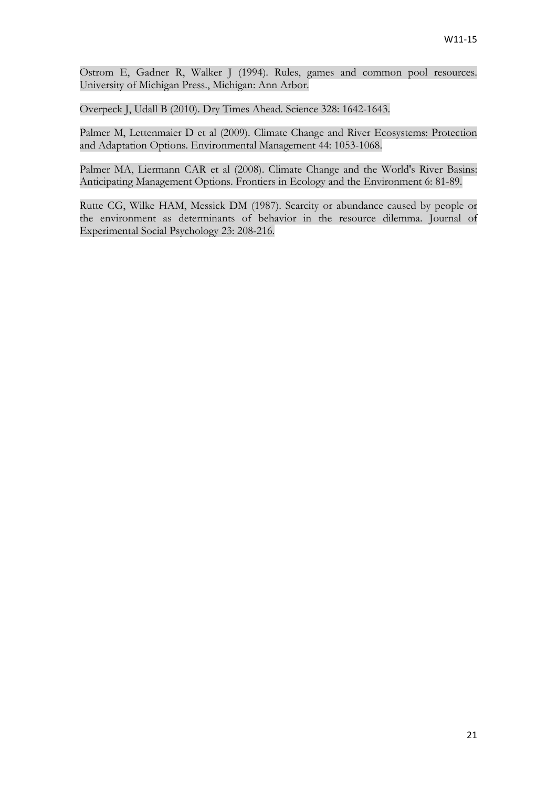<span id="page-20-4"></span>Ostrom E, Gadner R, Walker J (1994). Rules, games and common pool resources. University of Michigan Press., Michigan: Ann Arbor.

<span id="page-20-0"></span>Overpeck J, Udall B (2010). Dry Times Ahead. Science 328: 1642-1643.

<span id="page-20-2"></span>Palmer M, Lettenmaier D et al (2009). Climate Change and River Ecosystems: Protection and Adaptation Options. Environmental Management 44: 1053-1068.

<span id="page-20-1"></span>Palmer MA, Liermann CAR et al (2008). Climate Change and the World's River Basins: Anticipating Management Options. Frontiers in Ecology and the Environment 6: 81-89.

<span id="page-20-3"></span>Rutte CG, Wilke HAM, Messick DM (1987). Scarcity or abundance caused by people or the environment as determinants of behavior in the resource dilemma. Journal of Experimental Social Psychology 23: 208-216.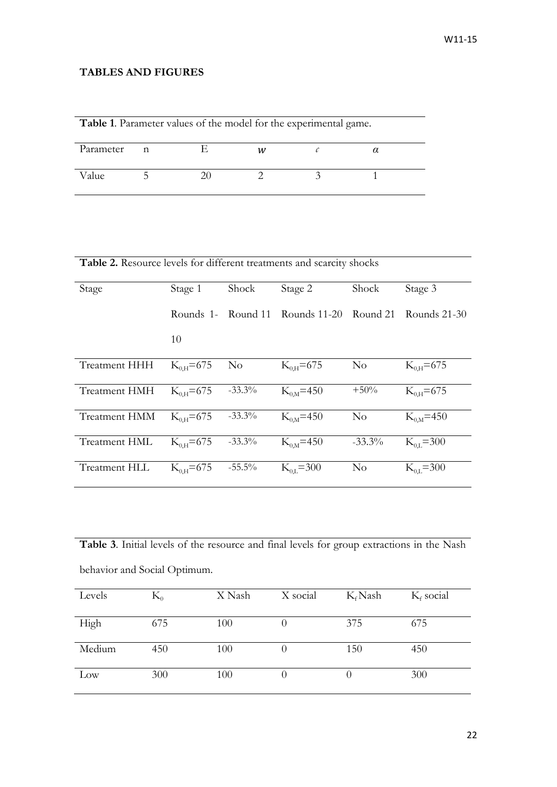# **TABLES AND FIGURES**

| Table 1. Parameter values of the model for the experimental game. |   |  |   |  |  |  |
|-------------------------------------------------------------------|---|--|---|--|--|--|
| Parameter                                                         | n |  | w |  |  |  |
| Value                                                             |   |  |   |  |  |  |

Table 2. Resource levels for different treatments and scarcity shocks

| Stage                | Stage 1        | Shock          | Stage 2                                  | Shock     | Stage 3         |
|----------------------|----------------|----------------|------------------------------------------|-----------|-----------------|
|                      |                |                | Rounds 1- Round 11 Rounds 11-20 Round 21 |           | Rounds 21-30    |
|                      | 10             |                |                                          |           |                 |
| <b>Treatment HHH</b> | $K_{0H} = 675$ | N <sub>o</sub> | $K_{0H} = 675$                           | No        | $K_{0H} = 675$  |
| <b>Treatment HMH</b> | $K_{0H} = 675$ | $-33.3\%$      | $K_{0.M} = 450$                          | $+50%$    | $K_{0H} = 675$  |
| Treatment HMM        | $K_{0H} = 675$ | $-33.3%$       | $K_{0M} = 450$                           | $\rm No$  | $K_{0,M} = 450$ |
| <b>Treatment HML</b> | $K_{0H} = 675$ | $-33.3\%$      | $K_{0M}$ =450                            | $-33.3\%$ | $K_{0,I} = 300$ |
| Treatment HLL        | $K_{0H} = 675$ | $-55.5\%$      | $K_{0,I} = 300$                          | $\rm No$  | $K_{0,L} = 300$ |

**Table 3**. Initial levels of the resource and final levels for group extractions in the Nash behavior and Social Optimum.

| Levels | $\rm K_{0}$ | X Nash | X social | $K_f$ Nash | $K_f$ social |
|--------|-------------|--------|----------|------------|--------------|
| High   | 675         | 100    |          | 375        | 675          |
| Medium | 450         | 100    |          | 150        | 450          |
| Low    | 300         | 100    |          |            | 300          |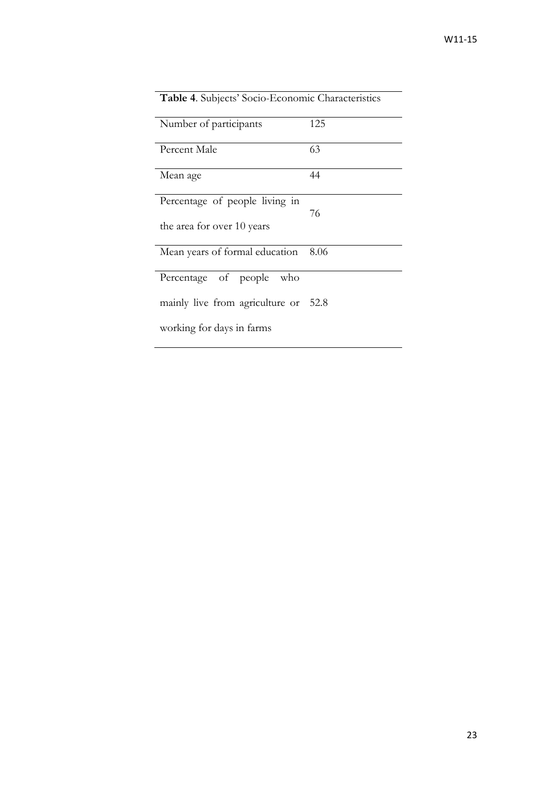| <b>Table 4.</b> Subjects' Socio-Economic Characteristics |      |  |  |  |
|----------------------------------------------------------|------|--|--|--|
| Number of participants                                   | 125  |  |  |  |
| Percent Male                                             | 63   |  |  |  |
| Mean age                                                 | 44   |  |  |  |
| Percentage of people living in                           | 76   |  |  |  |
| the area for over 10 years                               |      |  |  |  |
| Mean years of formal education                           | 8.06 |  |  |  |
| Percentage of people<br>who                              |      |  |  |  |
| mainly live from agriculture or 52.8                     |      |  |  |  |
| working for days in farms                                |      |  |  |  |

# **Table 4**. Subjects' Socio-Economic Characteristics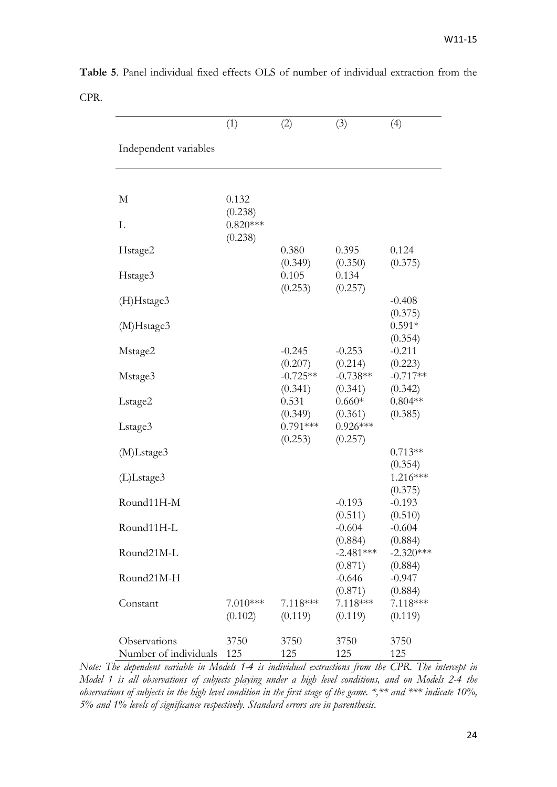|                                       | (1)                              | (2)                            | (3)                               | (4)                             |
|---------------------------------------|----------------------------------|--------------------------------|-----------------------------------|---------------------------------|
| Independent variables                 |                                  |                                |                                   |                                 |
| M                                     | 0.132                            |                                |                                   |                                 |
| L                                     | (0.238)<br>$0.820***$<br>(0.238) |                                |                                   |                                 |
| Hstage2                               |                                  | 0.380<br>(0.349)               | 0.395<br>(0.350)                  | 0.124<br>(0.375)                |
| Hstage3                               |                                  | 0.105<br>(0.253)               | 0.134<br>(0.257)                  |                                 |
| (H)Hstage3<br>(M)Hstage3              |                                  |                                |                                   | $-0.408$<br>(0.375)<br>$0.591*$ |
| Mstage2                               |                                  | $-0.245$<br>(0.207)            | $-0.253$<br>(0.214)               | (0.354)<br>$-0.211$<br>(0.223)  |
| Mstage3                               |                                  | $-0.725**$<br>(0.341)          | $-0.738**$<br>(0.341)             | $-0.717**$<br>(0.342)           |
| Lstage2                               |                                  | 0.531<br>(0.349)<br>$0.791***$ | $0.660*$<br>(0.361)<br>$0.926***$ | $0.804**$<br>(0.385)            |
| Lstage3<br>(M)Lstage3                 |                                  | (0.253)                        | (0.257)                           | $0.713**$                       |
| (L)Lstage3                            |                                  |                                |                                   | (0.354)<br>1.216***             |
| Round11H-M                            |                                  |                                | $-0.193$<br>(0.511)               | (0.375)<br>$-0.193$<br>(0.510)  |
| Round11H-L                            |                                  |                                | $-0.604$<br>(0.884)               | $-0.604$<br>(0.884)             |
| Round21M-L                            |                                  |                                | $-2.481***$<br>(0.871)            | $-2.320***$<br>(0.884)          |
| Round21M-H                            |                                  |                                | $-0.646$<br>(0.871)               | $-0.947$<br>(0.884)             |
| Constant                              | $7.010***$<br>(0.102)            | 7.118***<br>(0.119)            | $7.118***$<br>(0.119)             | $7.118***$<br>(0.119)           |
| Observations<br>Number of individuals | 3750<br>125                      | 3750<br>125                    | 3750<br>125                       | 3750<br>125                     |

**Table 5**. Panel individual fixed effects OLS of number of individual extraction from the CPR.

*Note: The dependent variable in Models 1-4 is individual extractions from the CPR. The intercept in Model 1 is all observations of subjects playing under a high level conditions, and on Models 2-4 the observations of subjects in the high level condition in the first stage of the game. \*,\*\* and \*\*\* indicate 10%, 5% and 1% levels of significance respectively. Standard errors are in parenthesis.*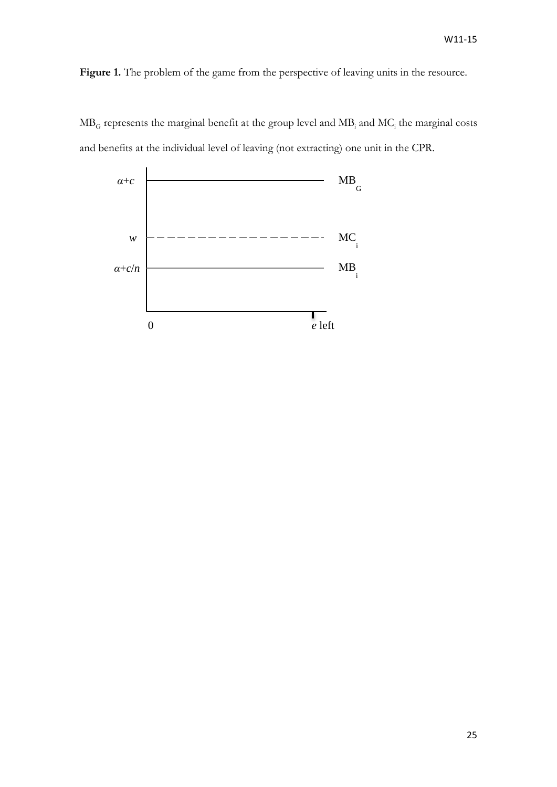Figure 1. The problem of the game from the perspective of leaving units in the resource.



 $MB<sub>G</sub>$  represents the marginal benefit at the group level and  $MB<sub>i</sub>$  and  $MC<sub>i</sub>$  the marginal costs and benefits at the individual level of leaving (not extracting) one unit in the CPR.